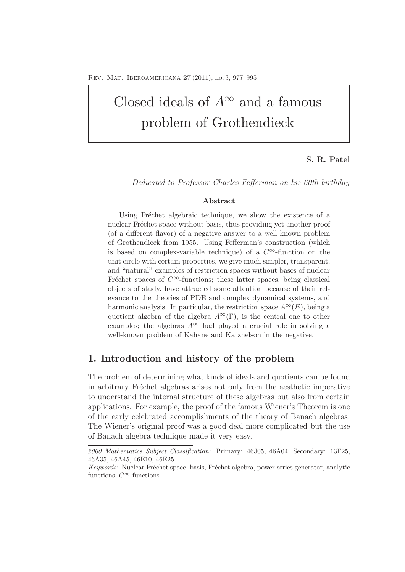# Closed ideals of  $A^{\infty}$  and a famous problem of Grothendieck

**S. R. Patel**

Dedicated to Professor Charles Fefferman on his 60th birthday

#### **Abstract**

Using Fréchet algebraic technique, we show the existence of a nuclear Fréchet space without basis, thus providing yet another proof (of a different flavor) of a negative answer to a well known problem of Grothendieck from 1955. Using Fefferman's construction (which is based on complex-variable technique) of a  $C^{\infty}$ -function on the unit circle with certain properties, we give much simpler, transparent, and "natural" examples of restriction spaces without bases of nuclear Fréchet spaces of  $C^{\infty}$ -functions; these latter spaces, being classical objects of study, have attracted some attention because of their relevance to the theories of PDE and complex dynamical systems, and harmonic analysis. In particular, the restriction space  $A^{\infty}(E)$ , being a quotient algebra of the algebra  $A^{\infty}(\Gamma)$ , is the central one to other examples; the algebras  $A^{\infty}$  had played a crucial role in solving a well-known problem of Kahane and Katznelson in the negative.

## **1. Introduction and history of the problem**

The problem of determining what kinds of ideals and quotients can be found in arbitrary Fréchet algebras arises not only from the aesthetic imperative to understand the internal structure of these algebras but also from certain applications. For example, the proof of the famous Wiener's Theorem is one of the early celebrated accomplishments of the theory of Banach algebras. The Wiener's original proof was a good deal more complicated but the use of Banach algebra technique made it very easy.

*<sup>2000</sup> Mathematics Subject Classification*: Primary: 46J05, 46A04; Secondary: 13F25, 46A35, 46A45, 46E10, 46E25.

*Keywords*: Nuclear Fréchet space, basis, Fréchet algebra, power series generator, analytic functions,  $C^{\infty}$ -functions.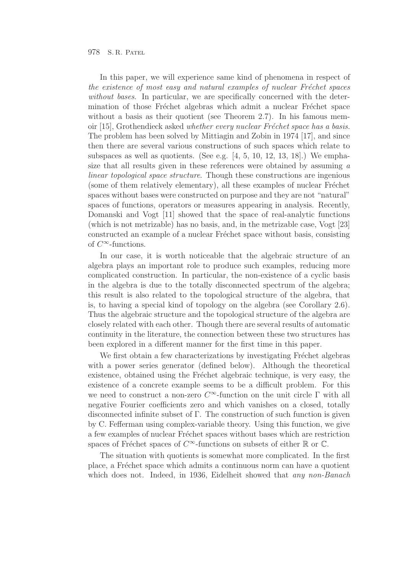In this paper, we will experience same kind of phenomena in respect of the existence of most easy and natural examples of nuclear Fréchet spaces without bases. In particular, we are specifically concerned with the determination of those Fréchet algebras which admit a nuclear Fréchet space without a basis as their quotient (see Theorem 2.7). In his famous memoir  $[15]$ , Grothendieck asked *whether every nuclear Fréchet space has a basis*. The problem has been solved by Mittiagin and Zobin in 1974 [17], and since then there are several various constructions of such spaces which relate to subspaces as well as quotients. (See e.g.  $[4, 5, 10, 12, 13, 18]$ .) We emphasize that all results given in these references were obtained by assuming  $a$ linear topological space structure. Though these constructions are ingenious (some of them relatively elementary), all these examples of nuclear Fréchet spaces without bases were constructed on purpose and they are not "natural" spaces of functions, operators or measures appearing in analysis. Recently, Domanski and Vogt [11] showed that the space of real-analytic functions (which is not metrizable) has no basis, and, in the metrizable case, Vogt [23] constructed an example of a nuclear Fréchet space without basis, consisting of  $C^{\infty}$ -functions.

In our case, it is worth noticeable that the algebraic structure of an algebra plays an important role to produce such examples, reducing more complicated construction. In particular, the non-existence of a cyclic basis in the algebra is due to the totally disconnected spectrum of the algebra; this result is also related to the topological structure of the algebra, that is, to having a special kind of topology on the algebra (see Corollary 2.6). Thus the algebraic structure and the topological structure of the algebra are closely related with each other. Though there are several results of automatic continuity in the literature, the connection between these two structures has been explored in a different manner for the first time in this paper.

We first obtain a few characterizations by investigating Fréchet algebras with a power series generator (defined below). Although the theoretical existence, obtained using the Fréchet algebraic technique, is very easy, the existence of a concrete example seems to be a difficult problem. For this we need to construct a non-zero  $C^{\infty}$ -function on the unit circle  $\Gamma$  with all negative Fourier coefficients zero and which vanishes on a closed, totally disconnected infinite subset of Γ. The construction of such function is given by C. Fefferman using complex-variable theory. Using this function, we give a few examples of nuclear Fréchet spaces without bases which are restriction spaces of Fréchet spaces of  $C^{\infty}$ -functions on subsets of either R or C.

The situation with quotients is somewhat more complicated. In the first place, a Fréchet space which admits a continuous norm can have a quotient which does not. Indeed, in 1936, Eidelheit showed that *any non-Banach*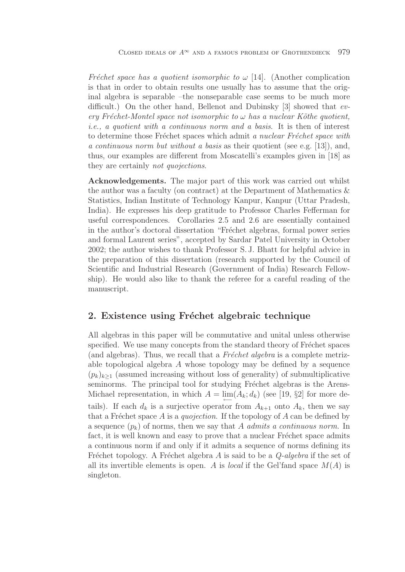Fréchet space has a quotient isomorphic to  $\omega$  [14]. (Another complication is that in order to obtain results one usually has to assume that the original algebra is separable –the nonseparable case seems to be much more difficult.) On the other hand, Bellenot and Dubinsky [3] showed that every Fréchet-Montel space not isomorphic to  $\omega$  has a nuclear Köthe quotient, i.e., a quotient with a continuous norm and a basis. It is then of interest to determine those Fréchet spaces which admit a nuclear Fréchet space with a continuous norm but without a basis as their quotient (see e.g. [13]), and, thus, our examples are different from Moscatelli's examples given in [18] as they are certainly not quojections.

**Acknowledgements.** The major part of this work was carried out whilst the author was a faculty (on contract) at the Department of Mathematics  $\&$ Statistics, Indian Institute of Technology Kanpur, Kanpur (Uttar Pradesh, India). He expresses his deep gratitude to Professor Charles Fefferman for useful correspondences. Corollaries 2.5 and 2.6 are essentially contained in the author's doctoral dissertation "Fréchet algebras, formal power series and formal Laurent series", accepted by Sardar Patel University in October 2002; the author wishes to thank Professor S. J. Bhatt for helpful advice in the preparation of this dissertation (research supported by the Council of Scientific and Industrial Research (Government of India) Research Fellowship). He would also like to thank the referee for a careful reading of the manuscript.

# **2. Existence using Fréchet algebraic technique**

All algebras in this paper will be commutative and unital unless otherwise specified. We use many concepts from the standard theory of Fréchet spaces (and algebras). Thus, we recall that a  $Fréchet$  algebra is a complete metrizable topological algebra A whose topology may be defined by a sequence  $(p_k)_{k\geq 1}$  (assumed increasing without loss of generality) of submultiplicative seminorms. The principal tool for studying Fréchet algebras is the Arens-Michael representation, in which  $A = \lim_{k \to \infty} (A_k; d_k)$  (see [19, §2] for more details). If each  $d_k$  is a surjective operator from  $A_{k+1}$  onto  $A_k$ , then we say that a Fréchet space A is a *quojection*. If the topology of A can be defined by a sequence  $(p_k)$  of norms, then we say that A admits a continuous norm. In fact, it is well known and easy to prove that a nuclear Fréchet space admits a continuous norm if and only if it admits a sequence of norms defining its Fréchet topology. A Fréchet algebra A is said to be a  $Q$ -algebra if the set of all its invertible elements is open. A is *local* if the Gel'fand space  $M(A)$  is singleton.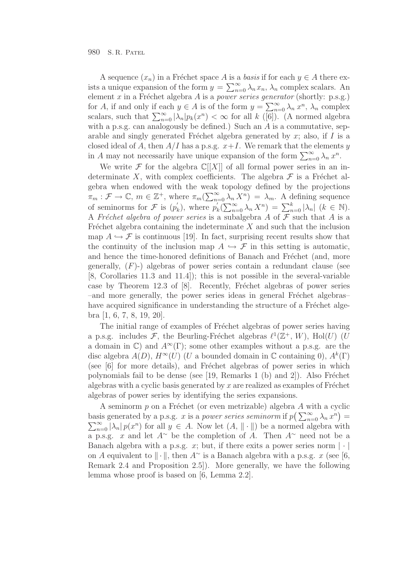A sequence  $(x_n)$  in a Fréchet space A is a basis if for each  $y \in A$  there exists a unique expansion of the form  $y = \sum_{n=0}^{\infty} \lambda_n x_n$ ,  $\lambda_n$  complex scalars. An element  $x$  in a Fréchet algebra  $A$  is a power series generator (shortly: p.s.g.) for A, if and only if each  $y \in A$  is of the form  $y = \sum_{n=0}^{\infty} \lambda_n x^n$ ,  $\lambda_n$  complex scalars, such that  $\sum_{n=0}^{\infty} |\lambda_n| p_k(x^n) < \infty$  for all k  $(\overline{[6]})$ . (A normed algebra with a p.s.g. can analogously be defined.) Such an  $A$  is a commutative, separable and singly generated Fréchet algebra generated by  $x$ ; also, if I is a closed ideal of A, then  $A/I$  has a p.s.g.  $x+I$ . We remark that the elements y in A may not necessarily have unique expansion of the form  $\sum_{n=0}^{\infty} \lambda_n x^n$ .

We write  $\mathcal F$  for the algebra  $\mathbb C[[X]]$  of all formal power series in an indeterminate X, with complex coefficients. The algebra  $\mathcal F$  is a Fréchet algebra when endowed with the weak topology defined by the projections  $\pi_m : \mathcal{F} \to \mathbb{C}, m \in \mathbb{Z}^+,$  where  $\pi_m(\sum_{n=0}^{\infty} \lambda_n X^n) = \lambda_m$ . A defining sequence of seminorms for F is  $(p'_k)$ , where  $p'_k(\sum_{n=0}^{\infty} \lambda_n X^n) = \sum_{n=0}^k |\lambda_n| (k \in \mathbb{N}).$ A Fréchet algebra of power series is a subalgebra A of  $\mathcal F$  such that A is a Fréchet algebra containing the indeterminate  $X$  and such that the inclusion map  $A \hookrightarrow \mathcal{F}$  is continuous [19]. In fact, surprising recent results show that the continuity of the inclusion map  $A \hookrightarrow \mathcal{F}$  in this setting is automatic, and hence the time-honored definitions of Banach and Fréchet (and, more generally,  $(F)$ -) algebras of power series contain a redundant clause (see [8, Corollaries 11.3 and 11.4]); this is not possible in the several-variable case by Theorem  $12.3$  of  $[8]$ . Recently, Fréchet algebras of power series  $-$ and more generally, the power series ideas in general Fréchet algebras– have acquired significance in understanding the structure of a Fréchet algebra [1, 6, 7, 8, 19, 20].

The initial range of examples of Fréchet algebras of power series having a p.s.g. includes F, the Beurling-Fréchet algebras  $\ell^1(\mathbb{Z}^+, W)$ , Hol $(U)$  (U a domain in  $\mathbb{C}$ ) and  $A^{\infty}(\Gamma)$ ; some other examples without a p.s.g. are the disc algebra  $A(D)$ ,  $H^{\infty}(U)$  (U a bounded domain in C containing 0),  $A^{k}(\Gamma)$ (see [6] for more details), and Fréchet algebras of power series in which polynomials fail to be dense (see [19, Remarks 1 (b) and 2]). Also Fréchet algebras with a cyclic basis generated by  $x$  are realized as examples of Fréchet algebras of power series by identifying the series expansions.

A seminorm  $p$  on a Fréchet (or even metrizable) algebra  $A$  with a cyclic basis generated by a p.s.g. x is a power series seminorm if  $p\left(\sum_{n=0}^{\infty} \lambda_n x^n\right) =$ <br> $\sum_{n=0}^{\infty} \lambda_n \left( \sum_{n=0}^{\infty} \lambda_n x^n \right)$  $\sum_{n=0}^{\infty} |\lambda_n| p(x^n)$  for all  $y \in A$ . Now let  $(A, \|\cdot\|)$  be a normed algebra with a p.s.g. x and let  $A^{\sim}$  be the completion of A. Then  $A^{\sim}$  need not be a Banach algebra with a p.s.g. x; but, if there exits a power series norm  $|\cdot|$ on A equivalent to  $\|\cdot\|$ , then A $\sim$  is a Banach algebra with a p.s.g. x (see [6, Remark 2.4 and Proposition 2.5]). More generally, we have the following lemma whose proof is based on [6, Lemma 2.2].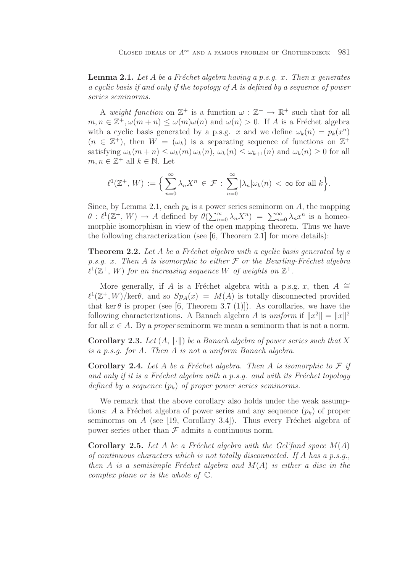**Lemma 2.1.** Let A be a Fréchet algebra having a p.s.q. x. Then x generates a cyclic basis if and only if the topology of A is defined by a sequence of power series seminorms.

A weight function on  $\mathbb{Z}^+$  is a function  $\omega : \mathbb{Z}^+ \to \mathbb{R}^+$  such that for all  $m, n \in \mathbb{Z}^+, \omega(m+n) \leq \omega(m)\omega(n)$  and  $\omega(n) > 0$ . If A is a Fréchet algebra with a cyclic basis generated by a p.s.g. x and we define  $\omega_k(n) = p_k(x^n)$  $(n \in \mathbb{Z}^+),$  then  $W = (\omega_k)$  is a separating sequence of functions on  $\mathbb{Z}^+$ satisfying  $\omega_k(m+n) \leq \omega_k(m) \omega_k(n)$ ,  $\omega_k(n) \leq \omega_{k+1}(n)$  and  $\omega_k(n) \geq 0$  for all  $m, n \in \mathbb{Z}^+$  all  $k \in \mathbb{N}$ . Let

$$
\ell^1(\mathbb{Z}^+, W) := \Big\{ \sum_{n=0}^{\infty} \lambda_n X^n \in \mathcal{F} : \sum_{n=0}^{\infty} |\lambda_n| \omega_k(n) < \infty \text{ for all } k \Big\}.
$$

Since, by Lemma 2.1, each  $p_k$  is a power series seminorm on A, the mapping  $\theta: \ell^1(\mathbb{Z}^+, W) \to A$  defined by  $\theta(\sum_{n=0}^{\infty} \lambda_n X^n) = \sum_{n=0}^{\infty} \lambda_n x^n$  is a homeomorphic isomorphism in view of the open mapping theorem. Thus we have the following characterization (see [6, Theorem 2.1] for more details):

**Theorem 2.2.** Let A be a Fréchet algebra with a cyclic basis generated by a p.s.g. x. Then A is isomorphic to either  $\mathcal F$  or the Beurling-Fréchet algebra  $\ell^1(\mathbb{Z}^+, W)$  for an increasing sequence W of weights on  $\mathbb{Z}^+$ .

More generally, if A is a Fréchet algebra with a p.s.g. x, then  $A \cong$  $\ell^1(\mathbb{Z}^+, W)/\text{ker}\theta$ , and so  $Sp_A(x) = M(A)$  is totally disconnected provided that ker  $\theta$  is proper (see [6, Theorem 3.7 (1)]). As corollaries, we have the following characterizations. A Banach algebra A is uniform if  $||x^2|| = ||x||^2$ for all  $x \in A$ . By a *proper* seminorm we mean a seminorm that is not a norm.

**Corollary 2.3.** Let  $(A, \|\cdot\|)$  be a Banach algebra of power series such that X is a p.s.g. for A. Then A is not a uniform Banach algebra.

**Corollary 2.4.** Let A be a Fréchet algebra. Then A is isomorphic to  $\mathcal{F}$  if and only if it is a Fréchet algebra with a p.s.q. and with its Fréchet topology defined by a sequence  $(p_k)$  of proper power series seminorms.

We remark that the above corollary also holds under the weak assumptions: A a Fréchet algebra of power series and any sequence  $(p_k)$  of proper seminorms on  $A$  (see [19, Corollary 3.4]). Thus every Fréchet algebra of power series other than  $\mathcal F$  admits a continuous norm.

**Corollary 2.5.** Let A be a Fréchet algebra with the Gel'fand space  $M(A)$ of continuous characters which is not totally disconnected. If A has a p.s.q., then A is a semisimple Fréchet algebra and  $M(A)$  is either a disc in the complex plane or is the whole of C.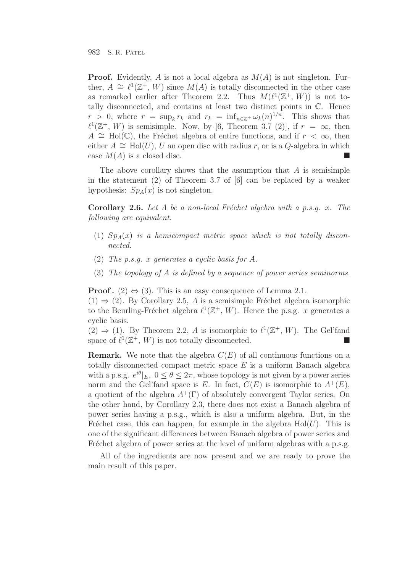**Proof.** Evidently, A is not a local algebra as  $M(A)$  is not singleton. Further,  $A \cong \ell^1(\mathbb{Z}^+, W)$  since  $M(A)$  is totally disconnected in the other case as remarked earlier after Theorem 2.2. Thus  $M(\ell^1(\mathbb{Z}^+, W))$  is not totally disconnected, and contains at least two distinct points in C. Hence  $r > 0$ , where  $r = \sup_k r_k$  and  $r_k = \inf_{n \in \mathbb{Z}^+} \omega_k(n)^{1/n}$ . This shows that  $\ell^1(\mathbb{Z}^+, W)$  is semisimple. Now, by [6, Theorem 3.7 (2)], if  $r = \infty$ , then  $A \cong Hol(\mathbb{C})$ , the Fréchet algebra of entire functions, and if  $r < \infty$ , then either  $A \cong Hol(U)$ , U an open disc with radius r, or is a Q-algebra in which case  $M(A)$  is a closed disc.

The above corollary shows that the assumption that  $A$  is semisimple in the statement (2) of Theorem 3.7 of [6] can be replaced by a weaker hypothesis:  $Sp<sub>A</sub>(x)$  is not singleton.

**Corollary 2.6.** Let A be a non-local Fréchet algebra with a p.s.g. x. The following are equivalent.

- (1)  $Sp<sub>A</sub>(x)$  is a hemicompact metric space which is not totally disconnected.
- (2) The p.s.g. x generates a cyclic basis for A.
- (3) The topology of A is defined by a sequence of power series seminorms.

**Proof.** (2)  $\Leftrightarrow$  (3). This is an easy consequence of Lemma 2.1.

 $(1) \Rightarrow (2)$ . By Corollary 2.5, A is a semisimple Fréchet algebra isomorphic to the Beurling-Fréchet algebra  $\ell^1(\mathbb{Z}^+, W)$ . Hence the p.s.g. x generates a cyclic basis.

 $(2) \Rightarrow (1)$ . By Theorem 2.2, A is isomorphic to  $\ell^1(\mathbb{Z}^+, W)$ . The Gel'fand space of  $\ell^1(\mathbb{Z}^+, W)$  is not totally disconnected.

**Remark.** We note that the algebra  $C(E)$  of all continuous functions on a totally disconnected compact metric space  $E$  is a uniform Banach algebra with a p.s.g.  $e^{i\theta}|_E$ ,  $0 \le \theta \le 2\pi$ , whose topology is not given by a power series norm and the Gel'fand space is E. In fact,  $C(E)$  is isomorphic to  $A^+(E)$ , a quotient of the algebra  $A^+(\Gamma)$  of absolutely convergent Taylor series. On the other hand, by Corollary 2.3, there does not exist a Banach algebra of power series having a p.s.g., which is also a uniform algebra. But, in the Fréchet case, this can happen, for example in the algebra  $Hol(U)$ . This is one of the significant differences between Banach algebra of power series and Fréchet algebra of power series at the level of uniform algebras with a p.s.g.

All of the ingredients are now present and we are ready to prove the main result of this paper.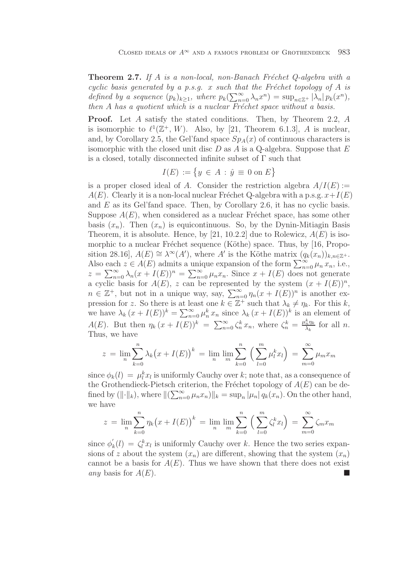**Theorem 2.7.** If A is a non-local, non-Banach Fréchet Q-algebra with a cyclic basis generated by a p.s.g. x such that the Fréchet topology of A is defined by a sequence  $(p_k)_{k\geq 1}$ , where  $p_k(\sum_{n=0}^{\infty} \lambda_n x^n) = \sup_{n\in\mathbb{Z}^+} |\lambda_n| p_k(x^n)$ , then  $A$  has a quotient which is a nuclear Fréchet space without a basis.

**Proof.** Let A satisfy the stated conditions. Then, by Theorem 2.2, A is isomorphic to  $\ell^1(\mathbb{Z}^+, W)$ . Also, by [21, Theorem 6.1.3], A is nuclear, and, by Corollary 2.5, the Gel'fand space  $Sp<sub>A</sub>(x)$  of continuous characters is isomorphic with the closed unit disc  $D$  as  $A$  is a Q-algebra. Suppose that  $E$ is a closed, totally disconnected infinite subset of  $\Gamma$  such that

$$
I(E) := \{ y \in A : \hat{y} \equiv 0 \text{ on } E \}
$$

is a proper closed ideal of A. Consider the restriction algebra  $A/I(E) :=$  $A(E)$ . Clearly it is a non-local nuclear Fréchet Q-algebra with a p.s.g.  $x+I(E)$ and  $E$  as its Gel'fand space. Then, by Corollary 2.6, it has no cyclic basis. Suppose  $A(E)$ , when considered as a nuclear Fréchet space, has some other basis  $(x_n)$ . Then  $(x_n)$  is equicontinuous. So, by the Dynin-Mitiagin Basis Theorem, it is absolute. Hence, by [21, 10.2.2] due to Rolewicz,  $A(E)$  is isomorphic to a nuclear Fréchet sequence (Köthe) space. Thus, by [16, Proposition 28.16],  $A(E) \cong \lambda^{\infty}(A')$ , where A' is the Köthe matrix  $(q_k(x_n))_{k,n \in \mathbb{Z}^+}$ . Also each  $z \in A(E)$  admits a unique expansion of the form  $\sum_{n=0}^{\infty} \mu_n x_n$ , i.e.,  $z = \sum_{n=0}^{\infty} \lambda_n (x + I(E))^n = \sum_{n=0}^{\infty} \mu_n x_n$ . Since  $x + I(E)$  does not generate a cyclic basis for  $A(E)$ , z can be represented by the system  $(x + I(E))^n$ ,  $n \in \mathbb{Z}^+$ , but not in a unique way, say,  $\sum_{n=0}^{\infty} \eta_n(x+I(E))^n$  is another expression for z. So there is at least one  $k \in \mathbb{Z}^+$  such that  $\lambda_k \neq \eta_k$ . For this k, we have  $\lambda_k (x + I(E))^k = \sum_{n=0}^{\infty} \mu_n^k x_n$  since  $\lambda_k (x + I(E))^k$  is an element of  $A(E)$ . But then  $\eta_k(x+I(E))^k = \sum_{n=0}^{\infty} \zeta_n^k x_n$ , where  $\zeta_n^k = \frac{\mu_n^k \eta_k}{\lambda_k}$  for all n. Thus, we have

$$
z = \lim_{n} \sum_{k=0}^{n} \lambda_k (x + I(E))^k = \lim_{n} \lim_{m} \sum_{k=0}^{n} \left( \sum_{l=0}^{m} \mu_l^k x_l \right) = \sum_{m=0}^{\infty} \mu_m x_m
$$

since  $\phi_k(l) = \mu_l^k x_l$  is uniformly Cauchy over k; note that, as a consequence of the Grothendieck-Pietsch criterion, the Fréchet topology of  $A(E)$  can be defined by  $(\|\cdot\|_k)$ , where  $\|(\sum_{n=0}^{\infty} \mu_n x_n)\|_k = \sup_n |\mu_n| q_k(x_n)$ . On the other hand, we have

$$
z = \lim_{n} \sum_{k=0}^{n} \eta_k (x + I(E))^k = \lim_{n} \lim_{m} \sum_{k=0}^{n} \left( \sum_{l=0}^{m} \zeta_l^k x_l \right) = \sum_{m=0}^{\infty} \zeta_m x_m
$$

since  $\phi'_k(l) = \zeta_k^k x_l$  is uniformly Cauchy over k. Hence the two series expansions of z about the system  $(x_n)$  are different, showing that the system  $(x_n)$ cannot be a basis for  $A(E)$ . Thus we have shown that there does not exist any basis for  $A(E)$ .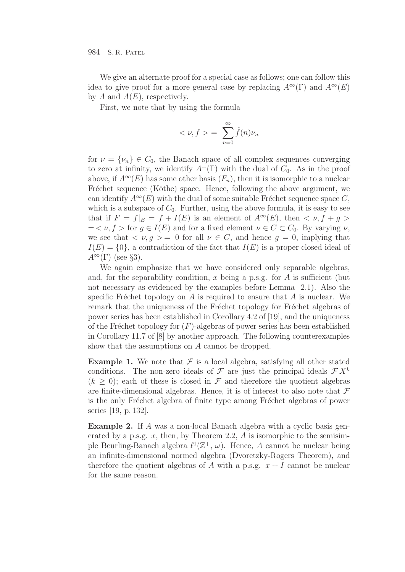We give an alternate proof for a special case as follows; one can follow this idea to give proof for a more general case by replacing  $A^{\infty}(\Gamma)$  and  $A^{\infty}(E)$ by A and  $A(E)$ , respectively.

First, we note that by using the formula

$$
\langle \nu, f \rangle = \sum_{n=0}^{\infty} \hat{f}(n) \nu_n
$$

for  $\nu = {\nu_n} \in C_0$ , the Banach space of all complex sequences converging to zero at infinity, we identify  $A^+(\Gamma)$  with the dual of  $C_0$ . As in the proof above, if  $A^{\infty}(E)$  has some other basis  $(F_n)$ , then it is isomorphic to a nuclear Fréchet sequence (Köthe) space. Hence, following the above argument, we can identify  $A^{\infty}(E)$  with the dual of some suitable Fréchet sequence space C, which is a subspace of  $C_0$ . Further, using the above formula, it is easy to see that if  $F = f|_E = f + I(E)$  is an element of  $A^{\infty}(E)$ , then  $\langle \nu, f + g \rangle$  $=$  <  $\nu$ ,  $f$  > for  $g \in I(E)$  and for a fixed element  $\nu \in C \subset C_0$ . By varying  $\nu$ , we see that  $\langle \nu, g \rangle = 0$  for all  $\nu \in C$ , and hence  $g = 0$ , implying that  $I(E) = \{0\}$ , a contradiction of the fact that  $I(E)$  is a proper closed ideal of  $A^{\infty}(\Gamma)$  (see §3).

We again emphasize that we have considered only separable algebras, and, for the separability condition, x being a p.s.g. for A is sufficient (but not necessary as evidenced by the examples before Lemma 2.1). Also the specific Fréchet topology on A is required to ensure that A is nuclear. We remark that the uniqueness of the Fréchet topology for Fréchet algebras of power series has been established in Corollary 4.2 of [19], and the uniqueness of the Fréchet topology for  $(F)$ -algebras of power series has been established in Corollary 11.7 of [8] by another approach. The following counterexamples show that the assumptions on A cannot be dropped.

**Example 1.** We note that  $\mathcal F$  is a local algebra, satisfying all other stated conditions. The non-zero ideals of  $\mathcal F$  are just the principal ideals  $\mathcal F X^k$  $(k \geq 0)$ ; each of these is closed in F and therefore the quotient algebras are finite-dimensional algebras. Hence, it is of interest to also note that  $\mathcal F$ is the only Fréchet algebra of finite type among Fréchet algebras of power series [19, p. 132].

**Example 2.** If A was a non-local Banach algebra with a cyclic basis generated by a p.s.g. x, then, by Theorem 2.2, A is isomorphic to the semisimple Beurling-Banach algebra  $\ell^1(\mathbb{Z}^+, \omega)$ . Hence, A cannot be nuclear being an infinite-dimensional normed algebra (Dvoretzky-Rogers Theorem), and therefore the quotient algebras of A with a p.s.g.  $x + I$  cannot be nuclear for the same reason.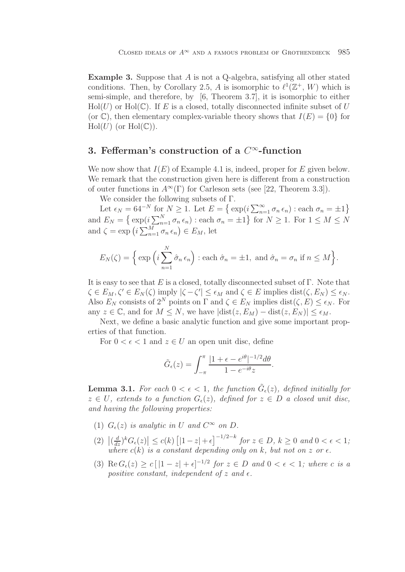**Example 3.** Suppose that A is not a Q-algebra, satisfying all other stated conditions. Then, by Corollary 2.5, A is isomorphic to  $\ell^1(\mathbb{Z}^+, W)$  which is semi-simple, and therefore, by [6, Theorem 3.7], it is isomorphic to either  $\text{Hol}(U)$  or  $\text{Hol}(\mathbb{C})$ . If E is a closed, totally disconnected infinite subset of U (or  $\mathbb{C}$ ), then elementary complex-variable theory shows that  $I(E) = \{0\}$  for  $Hol(U)$  (or  $Hol(\mathbb{C})$ ).

# **3. Fefferman's construction of a** C<sup>∞</sup>**-function**

We now show that  $I(E)$  of Example 4.1 is, indeed, proper for E given below. We remark that the construction given here is different from a construction of outer functions in  $A^{\infty}(\Gamma)$  for Carleson sets (see [22, Theorem 3.3]).

We consider the following subsets of Γ.

Let  $\epsilon_N = 64^{-N}$  for  $N \geq 1$ . Let  $E = \{ \exp(i \sum_{n=1}^{\infty} \sigma_n \epsilon_n) : \text{each } \sigma_n = \pm 1 \}$ and  $E_N = \left\{ \exp(i \sum_{n=1}^N \sigma_n \epsilon_n) : \text{each } \sigma_n = \pm 1 \right\}$  for  $N \geq 1$ . For  $1 \leq M \leq N$ and  $\zeta = \exp\left(i \sum_{n=1}^{M} \sigma_n \epsilon_n\right) \in E_M$ , let

$$
E_N(\zeta) = \Big\{\exp\Big(i\sum_{n=1}^N \hat{\sigma}_n \epsilon_n\Big) : \text{each } \hat{\sigma}_n = \pm 1, \text{ and } \hat{\sigma}_n = \sigma_n \text{ if } n \leq M\Big\}.
$$

It is easy to see that E is a closed, totally disconnected subset of  $\Gamma$ . Note that  $\zeta \in E_M, \zeta' \in E_N(\zeta)$  imply  $|\zeta - \zeta'| \leq \epsilon_M$  and  $\zeta \in E$  implies  $dist(\zeta, E_N) \leq \epsilon_N$ . Also  $E_N$  consists of  $2^N$  points on  $\Gamma$  and  $\zeta \in E_N$  implies  $dist(\zeta, E) \leq \epsilon_N$ . For any  $z \in \mathbb{C}$ , and for  $M \leq N$ , we have  $|\text{dist}(z, E_M) - \text{dist}(z, E_N)| \leq \epsilon_M$ .

Next, we define a basic analytic function and give some important properties of that function.

For  $0 < \epsilon < 1$  and  $z \in U$  an open unit disc, define

$$
\tilde{G}_{\epsilon}(z) = \int_{-\pi}^{\pi} \frac{|1 + \epsilon - e^{i\theta}|^{-1/2} d\theta}{1 - e^{-i\theta}z}.
$$

**Lemma 3.1.** For each  $0 < \epsilon < 1$ , the function  $\tilde{G}_{\epsilon}(z)$ , defined initially for  $z \in U$ , extends to a function  $G_{\epsilon}(z)$ , defined for  $z \in D$  a closed unit disc, and having the following properties:

- (1)  $G_c(z)$  is analytic in U and  $C^{\infty}$  on D.
- (2)  $\left| \left( \frac{d}{dz} \right)^k G_{\epsilon}(z) \right| \le c(k) \left[ |1-z| + \epsilon \right]^{-1/2-k}$  for  $z \in D, k \ge 0$  and  $0 < \epsilon < 1$ ; where  $c(k)$  is a constant depending only on k, but not on z or  $\epsilon$ .
- (3) Re  $G_{\epsilon}(z) \geq c \left[ |1-z| + \epsilon \right]^{-1/2}$  for  $z \in D$  and  $0 < \epsilon < 1$ ; where c is a positive constant, independent of z and  $\epsilon$ .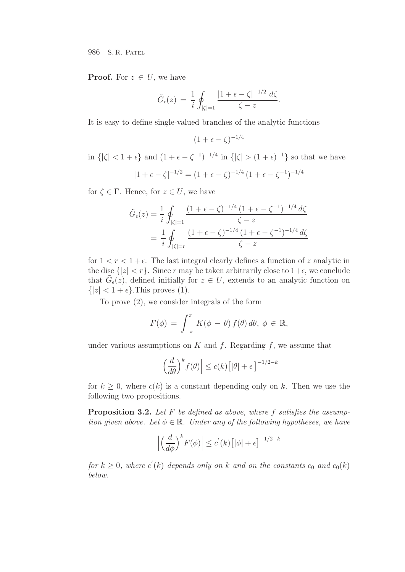**Proof.** For  $z \in U$ , we have

$$
\tilde{G}_{\epsilon}(z) = \frac{1}{i} \oint_{|\zeta|=1} \frac{|1+\epsilon-\zeta|^{-1/2} d\zeta}{\zeta-z}.
$$

It is easy to define single-valued branches of the analytic functions

$$
(1+\epsilon-\zeta)^{-1/4}
$$

in  $\{|\zeta| < 1 + \epsilon\}$  and  $(1 + \epsilon - \zeta^{-1})^{-1/4}$  in  $\{|\zeta| > (1 + \epsilon)^{-1}\}$  so that we have

$$
|1 + \epsilon - \zeta|^{-1/2} = (1 + \epsilon - \zeta)^{-1/4} (1 + \epsilon - \zeta^{-1})^{-1/4}
$$

for  $\zeta \in \Gamma$ . Hence, for  $z \in U$ , we have

$$
\tilde{G}_{\epsilon}(z) = \frac{1}{i} \oint_{|\zeta|=1} \frac{(1+\epsilon-\zeta)^{-1/4} (1+\epsilon-\zeta^{-1})^{-1/4} d\zeta}{\zeta - z}
$$

$$
= \frac{1}{i} \oint_{|\zeta|=r} \frac{(1+\epsilon-\zeta)^{-1/4} (1+\epsilon-\zeta^{-1})^{-1/4} d\zeta}{\zeta - z}
$$

for  $1 < r < 1+\epsilon$ . The last integral clearly defines a function of z analytic in the disc  $\{|z| < r\}$ . Since r may be taken arbitrarily close to  $1+\epsilon$ , we conclude that  $\tilde{G}_{\epsilon}(z)$ , defined initially for  $z \in U$ , extends to an analytic function on  $\{|z| < 1 + \epsilon\}$ . This proves (1).

To prove (2), we consider integrals of the form

$$
F(\phi) = \int_{-\pi}^{\pi} K(\phi - \theta) f(\theta) d\theta, \phi \in \mathbb{R},
$$

under various assumptions on  $K$  and  $f$ . Regarding  $f$ , we assume that

$$
\left| \left( \frac{d}{d\theta} \right)^k f(\theta) \right| \le c(k) \left[ |\theta| + \epsilon \right]^{-1/2 - k}
$$

for  $k \geq 0$ , where  $c(k)$  is a constant depending only on k. Then we use the following two propositions.

**Proposition 3.2.** Let F be defined as above, where f satisfies the assumption given above. Let  $\phi \in \mathbb{R}$ . Under any of the following hypotheses, we have

$$
\left| \left( \frac{d}{d\phi} \right)^k F(\phi) \right| \le c'(k) \left[ |\phi| + \epsilon \right]^{-1/2 - k}
$$

for  $k \geq 0$ , where  $c'(k)$  depends only on k and on the constants  $c_0$  and  $c_0(k)$ below.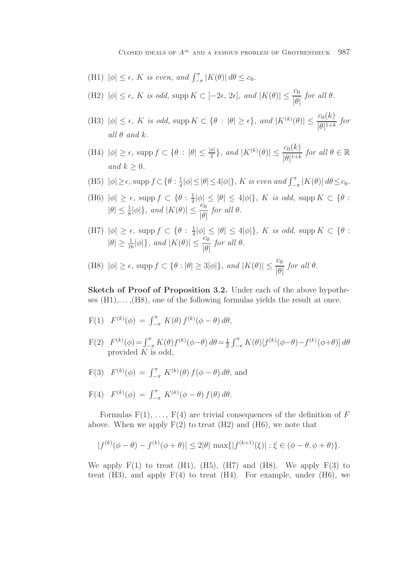CLOSED IDEALS OF  $A^{\infty}$  AND A FAMOUS PROBLEM OF GROTHENDIECK 987

- (H1)  $|\phi| \leq \epsilon$ , K is even, and  $\int_{-\pi}^{\pi} |K(\theta)| d\theta \leq c_0$ .
- (H2)  $|\phi| \leq \epsilon$ , K is odd, supp  $K \subset [-2\epsilon, 2\epsilon]$ , and  $|K(\theta)| \leq \frac{c_0}{10}$  $\frac{\partial}{\partial \theta}$  for all  $\theta$ .
- (H3)  $|\phi| \leq \epsilon$ , K is odd, supp  $K \subset {\theta : |\theta| \geq \epsilon}$ , and  $|K^{(k)}(\theta)| \leq \frac{c_0(k)}{|A|!|+k}$  $\frac{\partial}{\partial \theta} \left| \frac{\partial}{\partial r} \right|^{1+k}$  for all  $\theta$  and  $k$ .
- (H4)  $|\phi| \geq \epsilon$ , supp  $f \subset {\theta : |\theta| \leq \frac{|\phi|}{2}},$  and  $|K^{(k)}(\theta)| \leq \frac{c_0(k)}{|A|!|+k}$  $\frac{\mu_{0}(\kappa)}{|\theta|^{1+k}}$  for all  $\theta \in \mathbb{R}$ and  $k > 0$ .
- (H5)  $|\phi| \geq \epsilon$ , supp  $f \subset {\theta : \frac{1}{4}|\phi| \leq |\theta| \leq 4|\phi|}$ , K is even and  $\int_{-\pi}^{\pi} |K(\theta)| d\theta \leq c_0$ .
- (H6)  $|\phi| \geq \epsilon$ , supp  $f \subset {\theta : \frac{1}{4}|\phi| \leq |\theta| \leq 4|\phi|}$ , K is odd, supp  $K \subset {\theta : \frac{1}{4}|\phi| \leq \frac{1}{4}$  $|\theta| \leq \frac{1}{8} |\phi|$ , and  $|K(\theta)| \leq \frac{c_0}{|\theta|}$  for all  $\theta$ .
- (H7)  $|\phi| \geq \epsilon$ , supp  $f \subset {\theta : \frac{1}{4}|\phi| \leq |\theta| \leq 4|\phi|}$ , K is odd, supp  $K \subset {\theta : \frac{1}{4}|\phi| \leq \frac{1}{4}$  $|\theta| \geq \frac{1}{16} |\phi|$ , and  $|K(\theta)| \leq \frac{c_0}{|\theta|}$  for all  $\theta$ .
- (H8)  $|\phi| \geq \epsilon$ , supp  $f \subset {\theta : |\theta| \geq 3|\phi|}$ , and  $|K(\theta)| \leq \frac{c_0}{10}$  $\frac{\partial}{\partial \theta}$  for all  $\theta$ .

**Sketch of Proof of Proposition 3.2.** Under each of the above hypotheses  $(H1), \ldots, (H8)$ , one of the following formulas yields the result at once.

- $F(1)$   $F^{(k)}(\phi) = \int_{-\pi}^{\pi} K(\theta) f^{(k)}(\phi \theta) d\theta$ ,
- $F(2)$   $F^{(k)}(\phi) = \int_{-\pi}^{\pi} K(\theta) f^{(k)}(\phi \theta) d\theta = \frac{1}{2} \int_{-\pi}^{\pi} K(\theta) [f^{(k)}(\phi \theta) f^{(k)}(\phi + \theta)] d\theta$ provided  $K$  is odd,
- F(3)  $F^{(k)}(\phi) = \int_{-\pi}^{\pi} K^{(k)}(\theta) f(\phi \theta) d\theta$ , and
- $F(4)$   $F^{(k)}(\phi) = \int_{-\pi}^{\pi} K^{(k)}(\phi \theta) f(\theta) d\theta.$

Formulas  $F(1), \ldots, F(4)$  are trivial consequences of the definition of F above. When we apply  $F(2)$  to treat  $(H2)$  and  $(H6)$ , we note that

$$
|f^{(k)}(\phi - \theta) - f^{(k)}(\phi + \theta)| \le 2|\theta| \max\{|f^{(k+1)}(\xi)| : \xi \in (\phi - \theta, \phi + \theta)\}.
$$

We apply  $F(1)$  to treat  $(H1)$ ,  $(H5)$ ,  $(H7)$  and  $(H8)$ . We apply  $F(3)$  to treat  $(H3)$ , and apply  $F(4)$  to treat  $(H4)$ . For example, under  $(H6)$ , we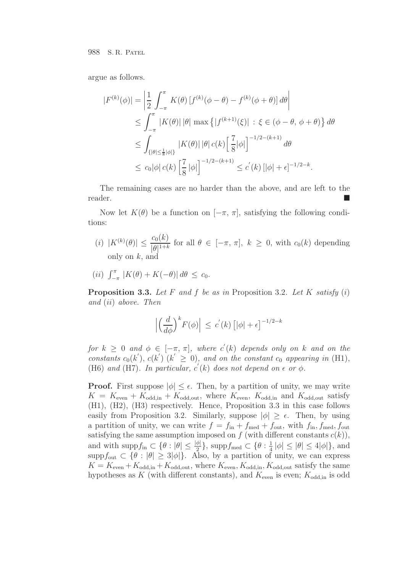argue as follows.

$$
|F^{(k)}(\phi)| = \left| \frac{1}{2} \int_{-\pi}^{\pi} K(\theta) \left[ f^{(k)}(\phi - \theta) - f^{(k)}(\phi + \theta) \right] d\theta \right|
$$
  
\n
$$
\leq \int_{-\pi}^{\pi} |K(\theta)| |\theta| \max \left\{ |f^{(k+1)}(\xi)| : \xi \in (\phi - \theta, \phi + \theta) \right\} d\theta
$$
  
\n
$$
\leq \int_{\{|\theta| \leq \frac{1}{8} |\phi| \}} |K(\theta)| |\theta| c(k) \left[ \frac{7}{8} |\phi| \right]^{-1/2 - (k+1)} d\theta
$$
  
\n
$$
\leq c_0 |\phi| c(k) \left[ \frac{7}{8} |\phi| \right]^{-1/2 - (k+1)} \leq c'(k) \left[ |\phi| + \epsilon \right]^{-1/2 - k}.
$$

The remaining cases are no harder than the above, and are left to the reader.

Now let  $K(\theta)$  be a function on  $[-\pi, \pi]$ , satisfying the following conditions:

- $(i)$   $|K^{(k)}(\theta)| \leq \frac{c_0(k)}{\ln(1+k)}$  $\frac{\partial \Theta(\kappa)}{\partial |\theta|^{1+k}}$  for all  $\theta \in [-\pi, \pi], k \geq 0$ , with  $c_0(k)$  depending only on  $k$ , and
- (ii)  $\int_{-\pi}^{\pi} |K(\theta) + K(-\theta)| d\theta \leq c_0$ .

**Proposition 3.3.** Let F and f be as in Proposition 3.2. Let K satisfy  $(i)$ and (ii) above. Then

$$
\left| \left( \frac{d}{d\phi} \right)^k F(\phi) \right| \, \leq \, c'(k) \left[ |\phi| + \epsilon \right]^{-1/2 - k}
$$

for  $k \geq 0$  and  $\phi \in [-\pi, \pi]$ , where  $c'(k)$  depends only on k and on the constants  $c_0(k')$ ,  $c(k')$   $(k' \geq 0)$ , and on the constant  $c_0$  appearing in (H1), (H6) and (H7). In particular,  $c'(k)$  does not depend on  $\epsilon$  or  $\phi$ .

**Proof.** First suppose  $|\phi| \leq \epsilon$ . Then, by a partition of unity, we may write  $K = K_{\text{even}} + K_{\text{odd,in}} + K_{\text{odd,out}}$ , where  $K_{\text{even}}$ ,  $K_{\text{odd,in}}$  and  $K_{\text{odd,out}}$  satisfy (H1), (H2), (H3) respectively. Hence, Proposition 3.3 in this case follows easily from Proposition 3.2. Similarly, suppose  $|\phi| \geq \epsilon$ . Then, by using a partition of unity, we can write  $f = f_{\text{in}} + f_{\text{med}} + f_{\text{out}}$ , with  $f_{\text{in}}$ ,  $f_{\text{med}}$ ,  $f_{\text{out}}$ satisfying the same assumption imposed on  $f$  (with different constants  $c(k)$ ), and with supp $f_{\text{in}} \subset \{\theta : |\theta| \leq \frac{|\phi|}{2}\},\$  supp $f_{\text{med}} \subset \{\theta : \frac{1}{4}|\phi| \leq |\theta| \leq 4|\phi|\},\$  and  $\text{supp} f_{\text{out}} \subset \{\theta : |\theta| \geq 3|\phi|\}.$  Also, by a partition of unity, we can express  $K = K_{\text{even}} + K_{\text{odd,in}} + K_{\text{odd,out}}$ , where  $K_{\text{even}}$ ,  $K_{\text{odd,in}}$ ,  $K_{\text{odd,out}}$  satisfy the same hypotheses as K (with different constants), and  $K_{\text{even}}$  is even;  $K_{\text{odd,in}}$  is odd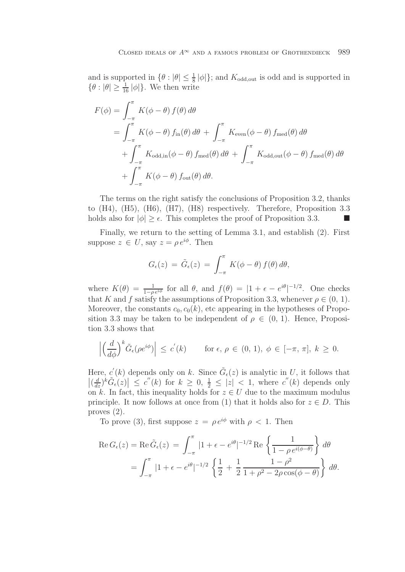and is supported in  $\{\theta : |\theta| \leq \frac{1}{8} |\phi|\}$ ; and  $K_{\text{odd,out}}$  is odd and is supported in  $\{\theta: |\theta|\geq \frac{1}{16}|\phi|\}.$  We then write

$$
F(\phi) = \int_{-\pi}^{\pi} K(\phi - \theta) f(\theta) d\theta
$$
  
= 
$$
\int_{-\pi}^{\pi} K(\phi - \theta) f_{\text{in}}(\theta) d\theta + \int_{-\pi}^{\pi} K_{\text{even}}(\phi - \theta) f_{\text{med}}(\theta) d\theta
$$
  
+ 
$$
\int_{-\pi}^{\pi} K_{\text{odd,in}}(\phi - \theta) f_{\text{med}}(\theta) d\theta + \int_{-\pi}^{\pi} K_{\text{odd,out}}(\phi - \theta) f_{\text{med}}(\theta) d\theta
$$
  
+ 
$$
\int_{-\pi}^{\pi} K(\phi - \theta) f_{\text{out}}(\theta) d\theta.
$$

The terms on the right satisfy the conclusions of Proposition 3.2, thanks to (H4), (H5), (H6), (H7), (H8) respectively. Therefore, Proposition 3.3 holds also for  $|\phi| \geq \epsilon$ . This completes the proof of Proposition 3.3.

Finally, we return to the setting of Lemma 3.1, and establish (2). First suppose  $z \in U$ , say  $z = \rho e^{i\phi}$ . Then

$$
G_{\epsilon}(z) = \tilde{G}_{\epsilon}(z) = \int_{-\pi}^{\pi} K(\phi - \theta) f(\theta) d\theta,
$$

where  $K(\theta) = \frac{1}{1-\rho e^{i\phi}}$  for all  $\theta$ , and  $f(\theta) = |1+\epsilon - e^{i\theta}|^{-1/2}$ . One checks that K and f satisfy the assumptions of Proposition 3.3, whenever  $\rho \in (0, 1)$ . Moreover, the constants  $c_0, c_0(k)$ , etc appearing in the hypotheses of Proposition 3.3 may be taken to be independent of  $\rho \in (0, 1)$ . Hence, Proposition 3.3 shows that

$$
\left| \left( \frac{d}{d\phi} \right)^k \tilde{G}_{\epsilon}(\rho e^{i\phi}) \right| \leq c'(k) \quad \text{for } \epsilon, \rho \in (0, 1), \phi \in [-\pi, \pi], k \geq 0.
$$

Here,  $c'(k)$  depends only on k. Since  $\tilde{G}_{\epsilon}(z)$  is analytic in U, it follows that  $|(\frac{d}{dz})^k\tilde{G}_{\epsilon}(z)| \leq c''(k)$  for  $k \geq 0, \frac{1}{2} \leq |z| < 1$ , where  $c''(k)$  depends only on k. In fact, this inequality holds for  $z \in U$  due to the maximum modulus principle. It now follows at once from (1) that it holds also for  $z \in D$ . This proves (2).

To prove (3), first suppose  $z = \rho e^{i\phi}$  with  $\rho < 1$ . Then

$$
\operatorname{Re} G_{\epsilon}(z) = \operatorname{Re} \tilde{G}_{\epsilon}(z) = \int_{-\pi}^{\pi} |1 + \epsilon - e^{i\theta}|^{-1/2} \operatorname{Re} \left\{ \frac{1}{1 - \rho e^{i(\phi - \theta)}} \right\} d\theta
$$
  
= 
$$
\int_{-\pi}^{\pi} |1 + \epsilon - e^{i\theta}|^{-1/2} \left\{ \frac{1}{2} + \frac{1}{2} \frac{1 - \rho^2}{1 + \rho^2 - 2\rho \cos(\phi - \theta)} \right\} d\theta.
$$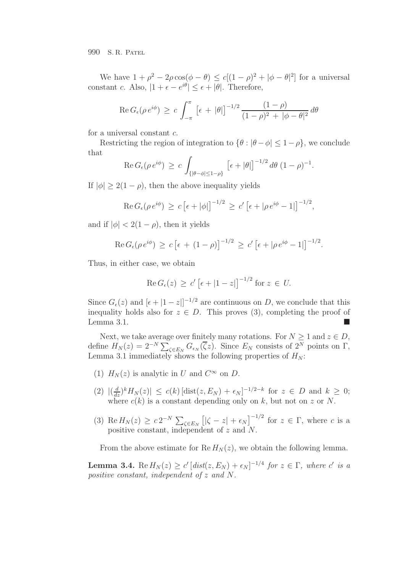We have  $1 + \rho^2 - 2\rho \cos(\phi - \theta) \leq c[(1 - \rho)^2 + |\phi - \theta|^2]$  for a universal constant c. Also,  $|1+\epsilon - e^{i\theta}| \leq \epsilon + |\theta|$ . Therefore,

$$
\operatorname{Re} G_{\epsilon}(\rho e^{i\phi}) \ge c \int_{-\pi}^{\pi} \left[ \epsilon + |\theta| \right]^{-1/2} \frac{(1-\rho)}{(1-\rho)^2 + |\phi - \theta|^2} d\theta
$$

for a universal constant c.

Restricting the region of integration to  $\{\theta : |\theta - \phi| \leq 1 - \rho\}$ , we conclude that

$$
\operatorname{Re} G_{\epsilon}(\rho e^{i\phi}) \ge c \int_{\{|\theta-\phi|\le 1-\rho\}} \left[ \epsilon + |\theta| \right]^{-1/2} d\theta \ (1-\rho)^{-1}.
$$

If  $|\phi| \geq 2(1-\rho)$ , then the above inequality yields

$$
\operatorname{Re} G_{\epsilon}(\rho e^{i\phi}) \ge c \left[ \epsilon + |\phi| \right]^{-1/2} \ge c' \left[ \epsilon + |\rho e^{i\phi} - 1| \right]^{-1/2},
$$

and if  $|\phi| < 2(1 - \rho)$ , then it yields

$$
\operatorname{Re} G_{\epsilon}(\rho e^{i\phi}) \ge c \left[ \epsilon + (1 - \rho) \right]^{-1/2} \ge c' \left[ \epsilon + |\rho e^{i\phi} - 1| \right]^{-1/2}.
$$

Thus, in either case, we obtain

$$
\operatorname{Re} G_{\epsilon}(z) \, \geq \, c' \left[ \epsilon + |1 - z| \right]^{-1/2} \text{ for } z \, \in \, U.
$$

Since  $G_{\epsilon}(z)$  and  $[\epsilon + |1-z|]^{-1/2}$  are continuous on D, we conclude that this inequality holds also for  $z \in D$ . This proves (3), completing the proof of Lemma 3.1.  $\blacksquare$ 

Next, we take average over finitely many rotations. For  $N \geq 1$  and  $z \in D$ , define  $H_N(z)=2^{-N}\sum_{\zeta\in E_N} G_{\epsilon_N}(\overline{\zeta}z)$ . Since  $E_N$  consists of  $2^N$  points on  $\Gamma$ , Lemma 3.1 immediately shows the following properties of  $H_N$ :

- (1)  $H_N(z)$  is analytic in U and  $C^{\infty}$  on D.
- (2)  $|(\frac{d}{dz})^k H_N(z)| \leq c(k) [\text{dist}(z, E_N) + \epsilon_N]^{-1/2-k}$  for  $z \in D$  and  $k \geq 0$ ; where  $c(k)$  is a constant depending only on k, but not on z or N.
- (3) Re  $H_N(z) \ge c 2^{-N} \sum_{\zeta \in E_N} [|\zeta z| + \epsilon_N]^{-1/2}$  for  $z \in \Gamma$ , where c is a positive constant, independent of z and N.

From the above estimate for  $\text{Re}\,H_N(z)$ , we obtain the following lemma.

**Lemma 3.4.** Re  $H_N(z) \ge c'$  [dist $(z, E_N) + \epsilon_N$ ]<sup>-1/4</sup> for  $z \in \Gamma$ , where c' is a positive constant, independent of z and N.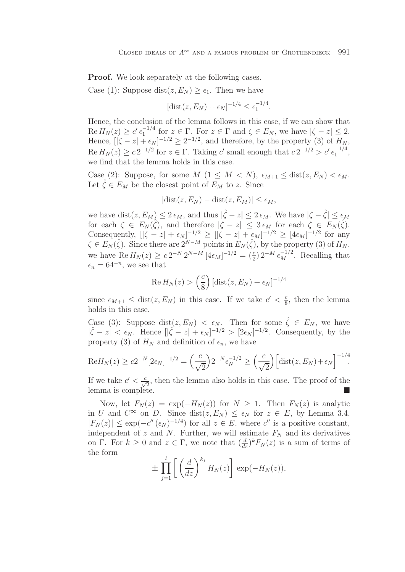**Proof.** We look separately at the following cases.

Case (1): Suppose dist $(z, E_N) \geq \epsilon_1$ . Then we have

$$
[dist(z, E_N) + \epsilon_N]^{-1/4} \le \epsilon_1^{-1/4}.
$$

Hence, the conclusion of the lemma follows in this case, if we can show that  $\text{Re } H_N(z) \geq c' \epsilon_1^{-1/4} \text{ for } z \in \Gamma. \text{ For } z \in \Gamma \text{ and } \zeta \in E_N, \text{ we have } |\zeta - z| \leq 2.$ Hence,  $[(\zeta - z) + \epsilon_N]^{-1/2} \geq 2^{-1/2}$ , and therefore, by the property (3) of  $H_N$ ,  $\text{Re } H_N(z) \geq c \, 2^{-1/2}$  for  $z \in \Gamma$ . Taking c' small enough that  $c \, 2^{-1/2} > c' \, \epsilon_1^{-1/4}$ , we find that the lemma holds in this case.

Case (2): Suppose, for some  $M$   $(1 \leq M < N)$ ,  $\epsilon_{M+1} \leq \text{dist}(z, E_N) < \epsilon_M$ . Let  $\zeta \in E_M$  be the closest point of  $E_M$  to z. Since

$$
|\text{dist}(z, E_N) - \text{dist}(z, E_M)| \le \epsilon_M,
$$

we have  $dist(z, E_M) \leq 2 \epsilon_M$ , and thus  $|\hat{\zeta} - z| \leq 2 \epsilon_M$ . We have  $|\zeta - \hat{\zeta}| \leq \epsilon_M$ for each  $\zeta \in E_N(\hat{\zeta})$ , and therefore  $|\zeta - z| \leq 3\epsilon_M$  for each  $\zeta \in E_N(\hat{\zeta})$ . Consequently,  $\left| \left| \zeta - z \right| + \epsilon_N \right|^{-1/2} \geq \left| \left| \zeta - z \right| + \epsilon_M \right|^{-1/2} \geq \left[ 4\epsilon_M \right]^{-1/2}$  for any  $\zeta \in E_N(\hat{\zeta})$ . Since there are  $2^{N-M}$  points in  $E_N(\hat{\zeta})$ , by the property (3) of  $H_N$ , we have  $\text{Re } H_N(z) \ge c 2^{-N} 2^{N-M} [4\epsilon_M]^{-1/2} = \left(\frac{c}{2}\right) 2^{-M} \epsilon_M^{-1/2}$ . Recalling that  $\epsilon_n = 64^{-n}$ , we see that

$$
\operatorname{Re} H_N(z) > \left(\frac{c}{8}\right) \left[\operatorname{dist}(z, E_N) + \epsilon_N\right]^{-1/4}
$$

since  $\epsilon_{M+1} \leq \text{dist}(z, E_N)$  in this case. If we take  $c' < \frac{c}{8}$ , then the lemma holds in this case.

Case (3): Suppose dist( $z, E_N$ )  $\lt \epsilon_N$ . Then for some  $\hat{\zeta} \in E_N$ , we have  $|\hat{\zeta} - z| < \epsilon_N$ . Hence  $[|\hat{\zeta} - z| + \epsilon_N]^{-1/2} > [2\epsilon_N]^{-1/2}$ . Consequently, by the property (3) of  $H_N$  and definition of  $\epsilon_n$ , we have

$$
ReH_N(z) \ge c2^{-N} [2\epsilon_N]^{-1/2} = \left(\frac{c}{\sqrt{2}}\right) 2^{-N} \epsilon_N^{-1/2} \ge \left(\frac{c}{\sqrt{2}}\right) \left[ \text{dist}(z, E_N) + \epsilon_N \right]^{-1/4}.
$$

If we take  $c' < \frac{c}{\sqrt{2}}$ , then the lemma also holds in this case. The proof of the lemma is complete.

Now, let  $F_N(z) = \exp(-H_N(z))$  for  $N \ge 1$ . Then  $F_N(z)$  is analytic in U and  $C^{\infty}$  on D. Since  $dist(z, E_N) \leq \epsilon_N$  for  $z \in E$ , by Lemma 3.4,  $|F_N(z)| \leq \exp(-c''(\epsilon_N)^{-1/4})$  for all  $z \in E$ , where  $c''$  is a positive constant, independent of z and N. Further, we will estimate  $F<sub>N</sub>$  and its derivatives on  $\Gamma$ . For  $k \geq 0$  and  $z \in \Gamma$ , we note that  $(\frac{d}{dz})^k F_N(z)$  is a sum of terms of the form

$$
\pm \prod_{j=1}^l \left[ \left( \frac{d}{dz} \right)^{k_j} H_N(z) \right] \exp(-H_N(z)),
$$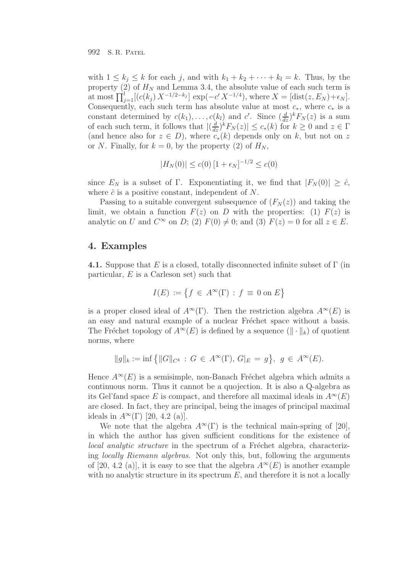with  $1 \leq k_i \leq k$  for each j, and with  $k_1 + k_2 + \cdots + k_l = k$ . Thus, by the property (2) of  $H_N$  and Lemma 3.4, the absolute value of each such term is at most  $\prod_{i=1}^{l} [(c(k_i) X^{-1/2-k_i}] \exp(-c' X^{-1/4}),$  where  $X = [\text{dist}(z, E_N) + \epsilon_N].$ Consequently, each such term has absolute value at most  $c_*,$  where  $c_*$  is a constant determined by  $c(k_1), \ldots, c(k_l)$  and c'. Since  $(\frac{d}{dz})^k F_N(z)$  is a sum of each such term, it follows that  $|(\frac{d}{dz})^k F_N(z)| \leq c_*(k)$  for  $k \geq 0$  and  $z \in \Gamma$ (and hence also for  $z \in D$ ), where  $c_*(k)$  depends only on k, but not on z or N. Finally, for  $k = 0$ , by the property (2) of  $H<sub>N</sub>$ ,

$$
|H_N(0)| \le c(0) \left[1 + \epsilon_N\right]^{-1/2} \le c(0)
$$

since  $E_N$  is a subset of Γ. Exponentiating it, we find that  $|F_N(0)| \geq c$ , where  $\hat{c}$  is a positive constant, independent of N.

Passing to a suitable convergent subsequence of  $(F_N(z))$  and taking the limit, we obtain a function  $F(z)$  on D with the properties: (1)  $F(z)$  is analytic on U and  $C^{\infty}$  on D; (2)  $F(0) \neq 0$ ; and (3)  $F(z) = 0$  for all  $z \in E$ .

### **4. Examples**

**4.1.** Suppose that E is a closed, totally disconnected infinite subset of Γ (in particular, E is a Carleson set) such that

$$
I(E) := \{ f \in A^{\infty}(\Gamma) : f \equiv 0 \text{ on } E \}
$$

is a proper closed ideal of  $A^{\infty}(\Gamma)$ . Then the restriction algebra  $A^{\infty}(E)$  is an easy and natural example of a nuclear Fréchet space without a basis. The Fréchet topology of  $A^{\infty}(E)$  is defined by a sequence  $(\Vert \cdot \Vert_k)$  of quotient norms, where

$$
||g||_k := \inf \{ ||G||_{C^k} : G \in A^{\infty}(\Gamma), G|_E = g \}, g \in A^{\infty}(E).
$$

Hence  $A^{\infty}(E)$  is a semisimple, non-Banach Fréchet algebra which admits a continuous norm. Thus it cannot be a quojection. It is also a Q-algebra as its Gel'fand space E is compact, and therefore all maximal ideals in  $A^{\infty}(E)$ are closed. In fact, they are principal, being the images of principal maximal ideals in  $A^{\infty}(\Gamma)$  [20, 4.2 (a)].

We note that the algebra  $A^{\infty}(\Gamma)$  is the technical main-spring of [20], in which the author has given sufficient conditions for the existence of local analytic structure in the spectrum of a Fréchet algebra, characterizing locally Riemann algebras. Not only this, but, following the arguments of [20, 4.2 (a)], it is easy to see that the algebra  $A^{\infty}(E)$  is another example with no analytic structure in its spectrum  $E$ , and therefore it is not a locally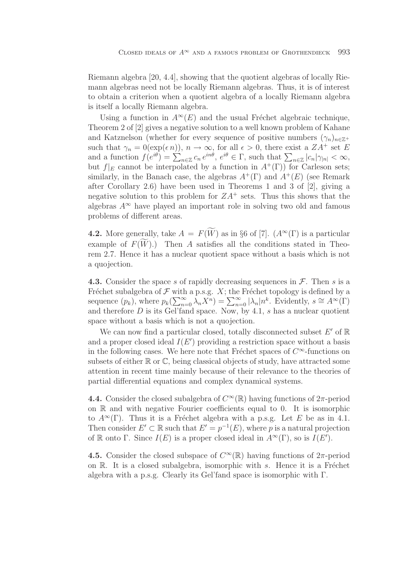Riemann algebra [20, 4.4], showing that the quotient algebras of locally Riemann algebras need not be locally Riemann algebras. Thus, it is of interest to obtain a criterion when a quotient algebra of a locally Riemann algebra is itself a locally Riemann algebra.

Using a function in  $A^{\infty}(E)$  and the usual Fréchet algebraic technique, Theorem 2 of [2] gives a negative solution to a well known problem of Kahane and Katznelson (whether for every sequence of positive numbers  $(\gamma_n)_{n \in \mathbb{Z}^+}$ such that  $\gamma_n = 0(\exp(\epsilon n))$ ,  $n \to \infty$ , for all  $\epsilon > 0$ , there exist a  $ZA^+$  set E and a function  $f(e^{i\theta}) = \sum_{n \in \mathbb{Z}} c_n e^{in\theta}$ ,  $e^{i\theta} \in \Gamma$ , such that  $\sum_{n \in \mathbb{Z}} |c_n|\gamma_{|n|} < \infty$ , but  $f|_E$  cannot be interpolated by a function in  $A^+(\Gamma)$  for Carleson sets; similarly, in the Banach case, the algebras  $A^+(\Gamma)$  and  $A^+(E)$  (see Remark after Corollary 2.6) have been used in Theorems 1 and 3 of [2], giving a negative solution to this problem for  $ZA^+$  sets. Thus this shows that the algebras  $A^{\infty}$  have played an important role in solving two old and famous problems of different areas.

**4.2.** More generally, take  $A = F(W)$  as in §6 of [7].  $(A^{\infty}(\Gamma))$  is a particular example of  $F(W)$ .) Then A satisfies all the conditions stated in Theorem 2.7. Hence it has a nuclear quotient space without a basis which is not a quojection.

**4.3.** Consider the space s of rapidly decreasing sequences in  $\mathcal{F}$ . Then s is a Fréchet subalgebra of  $\mathcal F$  with a p.s.g. X; the Fréchet topology is defined by a sequence  $(p_k)$ , where  $p_k(\sum_{n=0}^{\infty} \lambda_n X^n) = \sum_{n=0}^{\infty} |\lambda_n| n^k$ . Evidently,  $s \cong A^{\infty}(\Gamma)$ and therefore  $D$  is its Gel'fand space. Now, by 4.1, s has a nuclear quotient space without a basis which is not a quojection.

We can now find a particular closed, totally disconnected subset  $E'$  of  $\mathbb R$ and a proper closed ideal  $I(E')$  providing a restriction space without a basis in the following cases. We here note that Fréchet spaces of  $C^{\infty}$ -functions on subsets of either  $\mathbb R$  or  $\mathbb C$ , being classical objects of study, have attracted some attention in recent time mainly because of their relevance to the theories of partial differential equations and complex dynamical systems.

**4.4.** Consider the closed subalgebra of  $C^{\infty}(\mathbb{R})$  having functions of  $2\pi$ -period on R and with negative Fourier coefficients equal to 0. It is isomorphic to  $A^{\infty}(\Gamma)$ . Thus it is a Fréchet algebra with a p.s.g. Let E be as in 4.1. Then consider  $E' \subset \mathbb{R}$  such that  $E' = p^{-1}(E)$ , where p is a natural projection of R onto Γ. Since  $I(E)$  is a proper closed ideal in  $A^{\infty}(\Gamma)$ , so is  $I(E')$ .

**4.5.** Consider the closed subspace of  $C^{\infty}(\mathbb{R})$  having functions of  $2\pi$ -period on  $\mathbb R$ . It is a closed subalgebra, isomorphic with s. Hence it is a Fréchet algebra with a p.s.g. Clearly its Gel'fand space is isomorphic with Γ.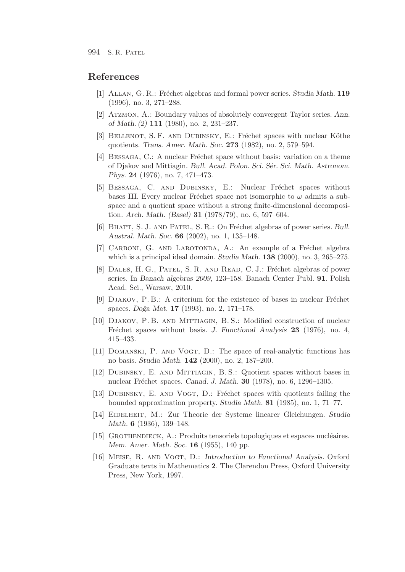#### **References**

- [1] Allan, G. R.: Fr´echet algebras and formal power series. *Studia Math.* **119** (1996), no. 3, 271–288.
- [2] Atzmon, A.: Boundary values of absolutely convergent Taylor series. *Ann. of Math. (2)* **111** (1980), no. 2, 231–237.
- [3] BELLENOT, S. F. AND DUBINSKY, E.: Fréchet spaces with nuclear Köthe quotients. *Trans. Amer. Math. Soc.* **273** (1982), no. 2, 579–594.
- [4] BESSAGA, C.: A nuclear Fréchet space without basis: variation on a theme of Djakov and Mittiagin. *Bull. Acad. Polon. Sci. Sér. Sci. Math. Astronom. Phys.* **24** (1976), no. 7, 471–473.
- [5] BESSAGA, C. AND DUBINSKY, E.: Nuclear Fréchet spaces without bases III. Every nuclear Fréchet space not isomorphic to  $\omega$  admits a subspace and a quotient space without a strong finite-dimensional decomposition. *Arch. Math. (Basel)* **31** (1978/79), no. 6, 597–604.
- [6] BHATT, S. J. AND PATEL, S. R.: On Fréchet algebras of power series. *Bull. Austral. Math. Soc.* **66** (2002), no. 1, 135–148.
- [7] CARBONI, G. AND LAROTONDA, A.: An example of a Fréchet algebra which is a principal ideal domain. *Studia Math.* **138** (2000), no. 3, 265–275.
- [8] DALES, H. G., PATEL, S. R. AND READ, C. J.: Fréchet algebras of power series. In *Banach algebras 2009*, 123–158. Banach Center Publ. **91**. Polish Acad. Sci., Warsaw, 2010.
- [9] DJAKOV, P. B.: A criterium for the existence of bases in nuclear Fréchet spaces. *Do˘ga Mat.* **17** (1993), no. 2, 171–178.
- [10] Djakov, P. B. and Mittiagin, B. S.: Modified construction of nuclear Fréchet spaces without basis. *J. Functional Analysis* 23 (1976), no. 4, 415–433.
- [11] DOMANSKI, P. AND VOGT, D.: The space of real-analytic functions has no basis. *Studia Math.* **142** (2000), no. 2, 187–200.
- [12] Dubinsky, E. and Mittiagin, B. S.: Quotient spaces without bases in nuclear Fréchet spaces. *Canad. J. Math.* **30** (1978), no. 6, 1296–1305.
- [13] DUBINSKY, E. AND VOGT, D.: Fréchet spaces with quotients failing the bounded approximation property. *Studia Math.* **81** (1985), no. 1, 71–77.
- [14] EIDELHEIT, M.: Zur Theorie der Systeme linearer Gleichungen. *Studia Math.* **6** (1936), 139–148.
- [15] GROTHENDIECK, A.: Produits tensoriels topologiques et espaces nucléaires. *Mem. Amer. Math. Soc.* **16** (1955), 140 pp.
- [16] Meise, R. and Vogt, D.: *Introduction to Functional Analysis.* Oxford Graduate texts in Mathematics **2**. The Clarendon Press, Oxford University Press, New York, 1997.